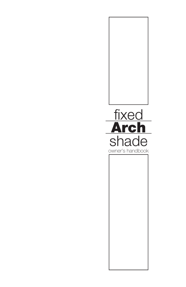

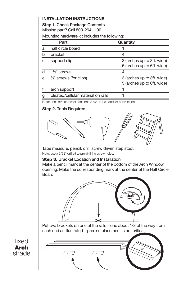# **INSTALLATION INSTRUCTIONS**

**Step 1.** Check Package Contents Missing part? Call 800-264-1190

Mounting hardware kit includes the following:

|   | Part                                 | Quantity                                                 |
|---|--------------------------------------|----------------------------------------------------------|
| a | half circle board                    |                                                          |
|   | bracket                              |                                                          |
| C | support clip                         | 3 (arches up to 3ft. wide)<br>5 (arches up to 6ft. wide) |
|   | 11/ <sub>8</sub> " screws            | 4                                                        |
| e | 3/ <sub>8</sub> " screws (for clips) | 3 (arches up to 3ft. wide)<br>5 (arches up to 6ft. wide) |
|   | arch support                         |                                                          |
|   | pleated/cellular material on rails   |                                                          |

Note: one extra screw of each noted size is included for convenience.

## **Step 2.** Tools Required



Tape measure, pencil, drill, screw driver, step stool.

Note: use a 3/32" drill bit to pre-drill the screw holes.

### **Step 3. Bracket Location and Installation**

Make a pencil mark at the center of the bottom of the Arch Window opening. Make the corresponding mark at the center of the Half Circle **Board** 



Put two brackets on one of the rails – one about 1/3 of the way from each end as illustrated – precise placement is not critical.



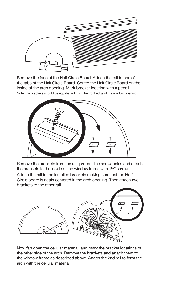

Remove the face of the Half Circle Board. Attach the rail to one of the tabs of the Half Circle Board. Center the Half Circle Board on the inside of the arch opening. Mark bracket location with a pencil.

Note: the brackets should be equidistant from the front edge of the window opening



Remove the brackets from the rail, pre-drill the screw holes and attach the brackets to the inside of the window frame with 11/8" screws.

Attach the rail to the installed brackets making sure that the Half Circle board is again centered in the arch opening. Then attach two brackets to the other rail.



Now fan open the cellular material, and mark the bracket locations of the other side of the arch. Remove the brackets and attach them to the window frame as described above. Attach the 2nd rail to form the arch with the cellular material.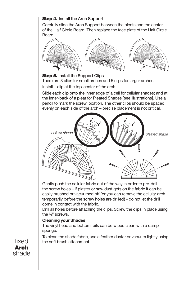# **Step 4. Install the Arch Support**

Carefully slide the Arch Support between the pleats and the center of the Half Circle Board. Then replace the face plate of the Half Circle Board.



#### **Step 5.** Install the Support Clips

There are 3 clips for small arches and 5 clips for larger arches. Install 1 clip at the top-center of the arch.

Slide each clip onto the inner edge of a cell for cellular shades; and at the inner-back of a pleat for Pleated Shades [see illustrations]. Use a pencil to mark the screw location. The other clips should be spaced evenly on each side of the arch – precise placement is not critical.



Gently push the cellular fabric out of the way in order to pre-drill the screw holes – if plaster or saw dust gets on the fabric it can be easily brushed or vacuumed off {or you can remove the cellular arch temporarily before the screw holes are drilled} - do not let the drill come in contact with the fabric.

Drill all holes before attaching the clips. Screw the clips in place using the 3/8" screws.

### **Cleaning your Shades**

The vinyl head and bottom rails can be wiped clean with a damp sponge.

To clean the shade fabric, use a feather duster or vacuum lightly using the soft brush attachment.